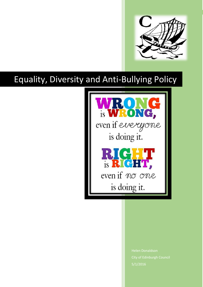

# Equality, Diversity and Anti-Bullying Policy



City of Edinburgh Council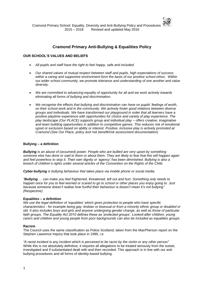

# **Cramond Primary Anti-Bullying & Equalities Policy**

#### **OUR SCHOOL'S VALUES AND BELIEFS**

- *All pupils and staff have the right to feel happy, safe and included.*
- *Our shared values of mutual respect between staff and pupils, high expectations of success within a caring and supportive environment form the basis of our positive school ethos. Within our wider school community, we promote tolerance and understanding of one another and value diversity.*
- *We are committed to advancing equality of opportunity for all and we work actively towards eliminating all forms of bullying and discrimination.*
- *We recognise the effects that bullying and discrimination can have on pupils' feelings of worth, on their school work and in the community. We actively foster good relations between diverse groups and individuals. We have transformed our playground in order that all learners have a positive playtime experience with opportunities for choice and variety of play experience. The play landscape (Our PLACE) supports group and individual play – offers creative, imaginative and team building opportunities in addition to competitive games. This reduces risk of emotional upset or exclusion based on ability or interest. Positive, inclusive play is actively promoted at Cramond (See Our Place, policy and risk benefit/risk assessment documentation)*

## **Bullying – a definition**

*Bullying is an abuse of (assumed) power. People who are bullied are very upset by something someone else has done or said to them or about them. They are likely to fear that this will happen again and feel powerless to stop it. Their own dignity or 'agency' has been diminished. Bullying is also a breach of children's rights under several articles of the Convention on the Rights of the Child.* 

*Cyber-bullying is bullying behaviour that takes place via mobile phone or social media.*

*"Bullying … can make you feel frightened, threatened, left out and hurt. Something only needs to happen once for you to feel worried or scared to go to school or other places you enjoy going to. Just because someone doesn't realise how hurtful their behaviour is doesn't mean it's not bullying" (*Respect*me)*

#### **Equalities – a definition**

*We use the legal definition of 'equalities' which gives protection to people who have specific characteristics - for example being gay, lesbian or bisexual or from a minority ethnic group or disabled or old. It also includes boys and girls and anyone undergoing gender change, as well as those of particular faith groups. The Equality Act 2010 defines these as 'protected groups'. Looked-after children, young carers and children and young people from poor backgrounds can also be included as equalities groups.*

#### **Racism**

The Council uses the same classification as Police Scotland, taken from the MacPherson report on the Stephen Lawrence Inquiry that took place in 1999, i.e.

*"A racist incident is any incident which is perceived to be racist by the victim or any other person"* While this is not absolutely definitive, it requires all allegations to be treated seriously from the outset, investigated and if substantiated dealt with and then recorded. This approach is in line with our antibullying procedures and all forms of identity-based bullying.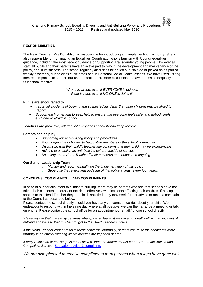

#### **RESPONSIBILITIES**

The Head Teacher, Mrs Donaldson is responsible for introducing and implementing this policy. She is also responsible for nominating an Equalities Coordinator who is familiar with Council equalities guidance, including the most recent guidance on Supporting Transgender young people. However all staff, all pupils and their parents have an active part to play in the development and maintenance of the policy, and in its success. The school regularly discusses being left out, isolated or picked on as part of weekly assembly, during class circle times and in Personal Social Health lessons. We have used visiting theatre companies to support our use of media to promote discussion and awareness of inequality. Our school mantra:

> *'Wrong is wrong, even if EVERYONE is doing it, Right is right, even if NO-ONE is doing it'*

#### **Pupils are encouraged to**

- *report all incidents of bullying and suspected incidents that other children may be afraid to report*
- *Support each other and to seek help to ensure that everyone feels safe, and nobody feels excluded or afraid in school.*

**Teachers are** *proactive, will treat all allegations seriously and keep records.*

#### **Parents can help by**

- *Supporting our anti-bullying policy and procedures.*
- *Encouraging their children to be positive members of the school community.*
- *Discussing with their child's teacher any concerns that their child may be experiencing*
- *Helping to establish an anti-bullying culture outside of school.*
- *Speaking to the Head Teacher if their concerns are serious and ongoing.*

#### **Our Senior Leadership Team**

- o *Monitor and report annually on the implementation of this policy*
- o *Supervise the review and updating of this policy at least every four years.*

## **CONCERNS, COMPLAINTS … AND COMPLIMENTS**

In spite of our serious intent to eliminate bullying, there may be parents who feel that schools have not taken their concerns seriously or not dealt effectively with incidents affecting their children. If having spoken to the Head Teacher they remain dissatisfied, they may seek further advice or make a complaint to the Council as described below.

Please contact the school directly should you have any concerns or worries about your child. We endeavour to respond within the same day where at all possible, we can then arrange a meeting or talk on phone. Please contact the school office for an appointment or email / phone school directly.

We recognise that there may be times when parents feel that we have not dealt well with an incident of *bullying and we ask that this be brought to the Head Teacher's notice.* 

*If the Head Teacher cannot resolve these concerns informally, parents can raise their concerns more formally in an official meeting where minutes are kept and shared.*

*If early resolution at this stage is not achieved, then the matter should be referred to the Advice and Complaints Service.* [Education advice & complaints](https://orb.edinburgh.gov.uk/info/200313/policies_and_procedures/71/education_advice_helpline_and_complaints)

*We are also pleased to receive compliments from parents when things have gone well.*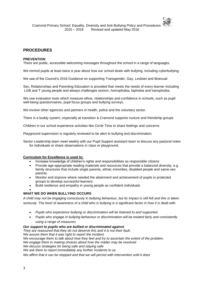## **PROCEDURES**

## **PREVENTION**

There are public, accessible welcoming messages throughout the school in a range of languages.

We remind pupils at least twice a year about how our school deals with bullying, including cyberbullying.

We use of the Council's 2016 Guidance on supporting Transgender, Gay, Lesbian and Bisexual

Sex, Relationships and Parenting Education is provided that meets the needs of every learner including LGB and T young people and always challenges sexism, homophobia, biphobia and transphobia.

We use evaluation tools which measure ethos, relationships and confidence in schools, such as pupil well-being questionnaires, pupil focus groups and bullying surveys.

We involve other agencies and partners in health, police and the voluntary sector.

There is a buddy system, especially at transition & Cramond supports nurture and friendship groups

Children in our school experience activities like Circle Time to share feelings and concerns

Playground supervision is regularly reviewed to be alert to bullying and discrimination.

Senior Leadership team meet weekly with our Pupil Support assistant team to discuss any pastoral notes for individuals or share observations in class or playground.

#### *.* **Curriculum for Excellence is used to:**

- Increase knowledge of children's rights and responsibilities as responsible citizens
- Provide age-appropriate reading materials and resources that provide a balanced diversity, e.g. family structures that include single parents, ethnic minorities, disabled people and same-sex parents.
- Monitor and improve where needed the attainment and achievement of pupils in protected groups to develop successful learners.
- Build resilience and empathy in young people as confident individuals

#### $\bullet$ **WHAT WE DO WHEN BULLYING OCCURS**

*A child may not be engaging consciously in bullying behaviour, but its impact is still felt and this is taken seriously. The level of awareness of a child who is bullying is a significant factor in how it is dealt with.* 

- *Pupils who experience bullying or discrimination will be listened to and supported.*
- *Pupils who engage in bullying behaviour or discrimination will be treated fairly and consistently using a range of measures*

## *Our support to pupils who are bullied or discriminated against*

*They are reassured that they do not deserve this and it is not their fault.*

*We assure them that it was right to report the incident.*

*We encourage them to talk about how they feel and try to ascertain the extent of the problem.*

*We engage them in making choices about how the matter may be resolved*

*We discuss strategies for being safe and staying safe*

*We ask them to report immediately any further incidents to us*

*We affirm that it can be stopped and that we will persist with intervention until it does*